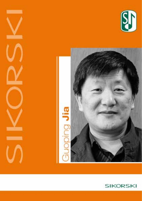



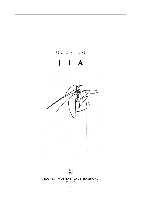# g u o p i n g

# **j i a**





#### **SIKORSKI MUSIKVERLAGE HAMBURG**

**sik 4/5662**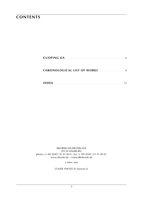### **contents**

| <b>CHRONOLOGICAL LIST OF WORKS.</b> 8 |  |
|---------------------------------------|--|
|                                       |  |

sikorski Musikverlage 20139 hamburg phone: (+ 49) (0)40 / 41 41 00-0 · fax: (+ 49) (0)40 / 41 41 00-41 www.sikorski.de · contact@sikorski.de

**9 a p r i l 2020**

cover photo © Yanwen Li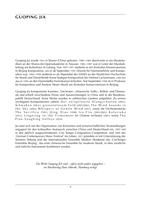### **guoping jia**

Guoping Jia wurde 1963 in Shanxi (China) geboren. 1980–1984 absolvierte er ein Musikstudium an der Shanxi-Jin-Opernakademie in Taiyuan. 1984–1987 war er Leiter der Musikabteilung am Kulturhaus in Luliang. Von 1987-1991 studierte er am Zentralen Konservatorium in Beijing Komposition, wo er ab September 1991 Dozent für Harmonielehre und Komposition war. 1994–1998 studierte er als Stipendiat des DAAD an der Staatlichen Hochschule für Musik und Darstellende Kunst Stuttgart Komposition bei Helmut Lachenmann, von wo aus er 1996 an den Darmstädter Ferienkursen teilnahm. Seit September 1998 ist er Professor für Komposition und Analyse Neuer Musik am Zentralen Konservatorium in Beijing.

Guoping Jia komponierte Kammer-, Orchester-, chinesische Volks-, Ballett- und Filmmusik und erhielt verschiedene Preise und Auszeichnungen in China und in der Bundesrepublik Deutschland. Seine Werke wurden in zahlreichen Ländern aufgeführt. Zu seinen wichtigsten Kompositionen zählen: Der zersplitterte Klangschatten (2003), Schweben über grenzenlosem Feld (2001/2002), The Wind Sounds in the Sky (2003), Whispers of Gentle Wind (2011), sowie die Orchesterstücke The Sacrifice (1991), Qing Diao (1998), Ice-Fire (2001/2005), Kalaviuka (2012), Lingering in the Firmament for Chinese orchestra (2001) sowie The Pine-Soughing Valleys (2014).

Jia setzt sich mit der Organisation von Konzerten und wissenschaftlichen Veranstaltungen engagiert für den kulturellen Austausch zwischen China und Deutschland ein. 2007 rief er den jährlich ausgeschriebenen ,Con Tempo Composition Competition' und 2009 das ,German Contemporary Music Festival' ins Leben. 2011 gründete er mit Unterstützung der Siemens Stiftung und der Internationalen Ensemble Modern Akademie das ,ConTempo Ensemble Beijing', das erste chinesische Ensemble für moderne Musik, in dem westliche und östliche Instrumente kombiniert werden.

> *Die Werke Guoping JIA sind – sofern nicht anders angegeben – im Musikverlag Hans Sikorski, Hamburg verlegt.*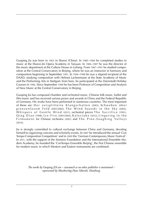Guoping Jia was born in 1963 in Shanxi (China). In 1980 –1984 he completed studies in music at the Shanxi-Jin Opera Academy in Taiyuan. In 1984–1987 he was the director of the music department at the Culture House in Luliang. From 1987–1991 he studied composition at the Central Conservatory in Beijing, where he was an instructor in harmony and composition beginning in September 1991. In 1994–1998 he was a stipend recipient of the DAAD, studying composition with Helmut Lachenmann at the State Academy of Music and the Performing Arts in Stuttgart; from here, he participated at the Darmstadt Holiday Courses in 1996. Since September 1998 he has been Professor of Composition and Analysis of New Music at the Central Conservatory in Beijing.

Guoping Jia has composed chamber and orchestral music, Chinese folk music, ballet and film music and has received various prizes and awards in China and the Federal Republic of Germany. His works have been performed in numerous countries. The most important of these are: Der zersplitterte Klangschatten (2003), Schweben über grenzenlosem Feld (2001/2002), The Wind Sounds in the Sky (2003), Whispers of Gentle Wind (2011), orchestral pieces The Sacrifice (1991),  $O$ ing  $D$ iao (1998), Ice-Fire (2001/2005), Kalaviuka (2012), Lingering in the Firm a ment for Chinese orchestra (2001) and The Pine-Soughing Valleys  $(2014)$ .

Jia is strongly committed to cultural exchange between China and Germany, devoting himself to organizing concerts and scholarly events. In 2007 he introduced the annual 'Con Tempo Composition Competition' and in 2009 the 'German Contemporary Music Festival'. In 2011, with the support of the Siemens Foundation and the International Ensemble Modern Academy, he founded the 'ConTempo Ensemble Beijing', the first Chinese ensemble for modern music in which Western and Eastern instruments are combined.

> *The works by Guoping JIA are – inasmuch as no other publisher is mentioned – represented by Musikverlag Hans Sikorski, Hamburg.*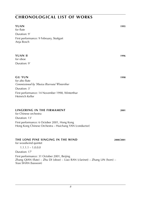| YUAN<br>for flute                                                                                      | 1995      |
|--------------------------------------------------------------------------------------------------------|-----------|
| Duration: 9'                                                                                           |           |
| First performance: 9 February, Stuttgart<br>Anja Bosch                                                 |           |
| <b>YUAN II</b><br>for oboe<br>Duration: 9'                                                             | 1996      |
|                                                                                                        |           |
| <b>GU YUN</b><br>for alto flute<br>Commissioned by 'Musica Riservata' Winterthur                       | 1998      |
| Duration: 3'                                                                                           |           |
| First performance: 14 November 1998, Winterthur<br>Heinrich Keller                                     |           |
| LINGERING IN THE FIRMAMENT<br>for Chinese orchestra<br>Duration: 13'                                   | 2001      |
| First performance: 6 October 2001, Hong Kong<br>Hong Kong Chinese Orchestra - Huichang YAN (conductor) |           |
| THE LONE PINE SINGING IN THE WIND<br>for woodwind quintet                                              | 2000/2001 |

 $1.1.1.1 - 1.0.0.0$ Duration: 17' First performance: 31 October 2001, Beijing Zhang Qian (flute) – Zhu Di (oboe) – Liao Ran (clarinet) – Zhang Lin (horn) – Xiao SHAN (bassoon)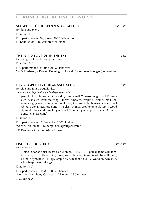#### **schweben über grenzenlosem feld 2001**/**2002**

for flute and piano Duration: 11' First performance: 26 January 2002, Winterthur H. Keller (flute) – B. Steinbrecher (piano)

#### **the wind sounds in the sky 2002**

for sheng, violoncello and percussion Duration: 11' First performance: 24 June 2005, Hannover Wu Wei (sheng) – Karsten Dehning (violoncello) – Andreas Boettger (percussion)

#### **der zersplitterte klangschatten 2003**

for pipa and four percussionists *Commissioned by Freiburger Schlagzeugensemble*

perc (I: glass chimes, crot, woodbl, tomt, small Chinese gong, small Chinese cym, susp.cym, Javanese gong – II: crot, timbales, temple bl, sizzle, small Chinese gong, Javanese gong, vibr – III: crot, flex, wood bl, bongos, sizzle, small Chinese gong, Javanese gong – IV: glass chimes, crot, temple bl, tom-t, wood dr, small Chinese dr, small cym, small Chinese cym, susp.cym, small Chinese gong, Javanese gong)

Duration: 11'

First performance: 12 December 2003, Freiburg Weiwei Lan (pipa) – Freiburger Schlagzeugensemble

© People's Music Publishing House

#### **eisfeuer** (**ice-fire**) **1999**–**2005**

for orchestra

 $3(picc).2(cor anglais).3(bass clar).2(db bn) - 4.3.3.1 - 5 perc (l: temple bl, tom$ t, bass dr, cym, vibr – II: tgl, tom-t, wood bl, cym, tam-t, marimba – III: timp, Chinese cym, bells – IV: tgl, temple bl, cym, tam-t, xyl – V: wood bl, cym, glsp, vibr). harp. piano. strings

Duration: 10'

First performance: 10 May 2005, Shenzen Shenzhen Symphony Orchestra – Xiaotang XIA (conductor)

*score:* **s i k 8862**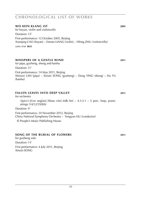#### **wo kein klang ist 2005**

for bayan, violin and violoncello Duration: 15' First performance: 12 October 2005, Beijing Xiaoqing Cao (bayan) – Danan Liang (violin) – Yibing Zhu (violoncello)

*score:* **s i k 8835**

#### **whispers of a gentle wind 2011**

for pipa, guzheng, sheng and banhu Duration: 11' First performance: 14 May 2011, Beijing Weiwei Lan (pipa) – Xinxin Song (guzheng) – Dong Ying (sheng) – Hu Yu (banhu)

#### **fallen leaves into deep valley 2011**

#### for orchestra

 $3(pice).3(cor \text{ anglais}).3(bass \text{ clar}).3(db \text{ bn}) - 4.3.3.1 - 5 \text{ perc. harp. piano.}$ strings (14/12/19/8/6)

Duration: 9'

First performance: 24 November 2012, Beijing

China National Symphony Orchestra – Yongyan HU (conductor)

© People's Music Publishing House

#### **song of the burial of flowers 2011**

for guzheng solo Duration: 13' First performance: 4 July 2011, Beijing Xinxin Song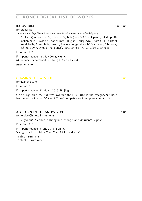#### **Kalaviuka 2011**/**2012**

for orchestra *Commissioned by Munich Biennale and Ernst von Siemens Musikstiftung*

 $3(pice).3(cor \text{ anglais}).3(bass \text{ clar}).3(db \text{ bn}) - 4.3.3.1 - 4 \text{ perc (l: 4 timp. Ti-1)}$ betian bells, 5 wood bl, bar chimes – II: glsp, 3 susp.cym, 4 tom-t – III: paisr of small bells, 5 temple bl, bass dr, 2 opera gongs, vibr – IV: 3 ant.cym, 2 bongos, Chinese cym, cym, 2 Thai gongs). harp. strings (14/12/10/8/6[5-stringed])

Duration: 10'

First performance: 18 May 2012, Munich Münchner Philharmoniker – Long YU (conductor)

*score:* **s i k 8794**

#### **chasing the wind II 2012**

for guzheng solo Duration: 4'

First performance: 21 March 2013, Beijing

Chasing the Wind was awarded the First Prize in the category 'Chinese Instrument' of the first 'Voice of China' competition of composers helt in 2013.

#### **a return in the snow river 2013**

for twelve Chinese instruments

2 gao hu\*. 4 er hu\*. 2 zhong hu\*. zhong ruan\*. da ruan\*\*. 2 perc

Duration: 11'

First performance: 5 June 2013, Beijing Sheng Feng Ensemble - Yuan Yuan CUI (conductor)

\* string instrument

\*\* plucked instrument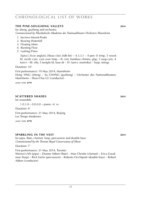#### **The Pine-soughing valleys 2014**

for sheng, guzheng and orchestra *Commissioned by Musikalische Akademie des Nationaltheater-Orchesters Mannheim*

- *1*. Incisive Mount-Peaks
- *2*. Roaring Waterfall
- *3*. Floating Mists
- *4*. Bursting Flow
- *5*. Lushing Pines

 $3(picc).3(cor anglais).3(bass clar).3(db bn) - 4.3.3.1 - 4 perc (l: timp, 5 wood)$ bl, sizzle cym, cym over timp – II: crot, bamboo chimes, glsp, 3 susp.cym, 4 tom-t – III: vibr, 5 temple bl, bass dr – IV: tam-t, marimba) – harp. strings

Duration: 10'

First performance: 19 May 2014, Mannheim Dong YING (sheng) – Su CHANG (guzheng) – Orchester des Nationaltheaters Mannheim – Shao-Chia Lü (conductor)

*score:* **s i k 8791**

#### **scattered shades 2014**

for ensemble

1.0.1.0 – 0.0.0.0 – piano. vl. vc

Duration: 9'

First performance: 21 May 2014, Beijing Les Temps Modernes

*score:* **s i k 8795**

#### **sparkling in the vast 2014**

for pipa, flute, clarinet, harp, percussion and double bass *Commissioned by the Toronto Royal Conservatory of Music*

Duration: 7'

First performance: 21 May 2014, Toronto Weiwei LAN (pipa) – Dianne Aitken (flute) – Max Christie (clarinet) – Erica Goodman (harp) – Rick Sacks (percussion) – Roberto Occhipinti (double bass) – Robert Aitken (conductor)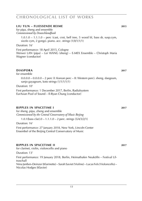#### **liu yun – fliessende reime 2015**

for pipa, sheng and ensemble *Commissioned by Deutschlandfunk*

> 1.0.1.0 – 1.1.1.0 – perc (cast, crot, bell tree, 5 wood bl, bass dr, susp.cym, sizzle cym, 2 gongs). piano. acc. strings (1/0/1/1/1)

Duration: 16'

First performance: 18 April 2015, Cologne Weiwei LAN (pipa) – Lei WANG (sheng) – E-MEX Ensemble – Christoph Maria Wagner (conductor)

#### **DIASPORA** 2017

for ensemble

 $0.0.0.0 - 0.0.0.0 - 2$  perc (I: Korean perc – II: Western perc). sheng. daegeum, sanjo gayageum, koto strings (1/1/1/1/1)

Duration: 10'

First performance: 1 December 2017, Berlin, Radialsystem EurAsian Pool of Sound – Il-Ryun Chung (conductor)

#### **ripples in spacetime i 2017**

for sheng, pipa, zheng and ensemble *Commissioned by the Central Conservatory of Music Beijing*

1.0.1(bass clar). $0 - 1.1.1.0 - 2$  perc. strings  $\left(\frac{5}{4}\right)\left(\frac{3}{2}\right)$ 

Duration: 16'

First performance: 27 January 2018, New York, Lincoln Center Ensembel of the Beijing Central Conservatory of Music

#### **ripples in spacetime iI 2017**

for clarinet, violin, violoncello and piano

Duration: 13'

First performance: 19 January 2018, Berlin, Heimathafen Neukölln – Festival Ultraschall Nina Janßen-Deinzer (Klarinette) – Sarah Saviet (Violine) – Lucas Fels (Violoncello) – Nicolas Hodges (Klavier)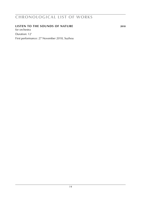#### **listen to the sounds of nature 2018**

for orchestra Duration: 12'

First performance: 27 November 2018, Suzhou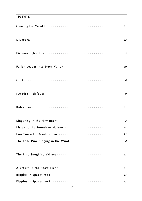## **index**

| Listen to the Sounds of Nature <b>Election Contract Contract Contract</b> 14                                                                                                                                                       |  |
|------------------------------------------------------------------------------------------------------------------------------------------------------------------------------------------------------------------------------------|--|
|                                                                                                                                                                                                                                    |  |
| The Lone Pine Singing in the Wind <b>Constitution</b> 2014 10:00 10:00 10:00 10:00 10:00 10:00 10:00 10:00 10:00 10:00 10:00 10:00 10:00 10:00 10:00 10:00 10:00 10:00 10:00 10:00 10:00 10:00 10:00 10:00 10:00 10:00 10:00 10:00 |  |
|                                                                                                                                                                                                                                    |  |
|                                                                                                                                                                                                                                    |  |
|                                                                                                                                                                                                                                    |  |
|                                                                                                                                                                                                                                    |  |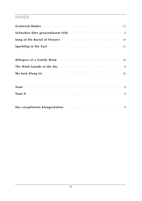# **INDEX**

| Yuan II $\cdots$ $\cdots$ $\cdots$ $\cdots$ $\cdots$ $\cdots$ $\cdots$ $\cdots$ $\cdots$ $\cdots$ $\cdots$ |
|------------------------------------------------------------------------------------------------------------|
|                                                                                                            |